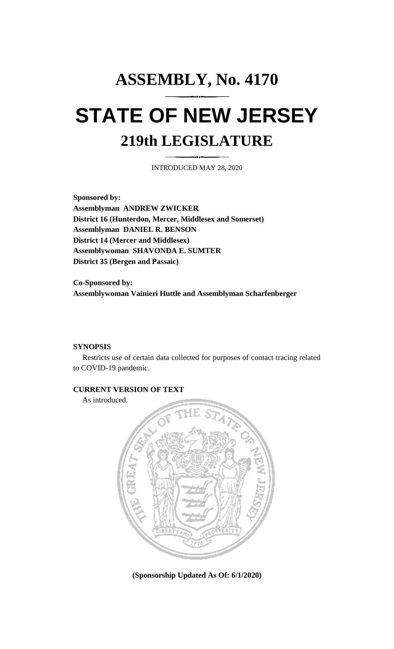## **ASSEMBLY, No. 4170 STATE OF NEW JERSEY 219th LEGISLATURE**

INTRODUCED MAY 28, 2020

**Sponsored by: Assemblyman ANDREW ZWICKER District 16 (Hunterdon, Mercer, Middlesex and Somerset) Assemblyman DANIEL R. BENSON District 14 (Mercer and Middlesex) Assemblywoman SHAVONDA E. SUMTER District 35 (Bergen and Passaic)**

**Co-Sponsored by: Assemblywoman Vainieri Huttle and Assemblyman Scharfenberger**

## **SYNOPSIS**

Restricts use of certain data collected for purposes of contact tracing related to COVID-19 pandemic.

## **CURRENT VERSION OF TEXT**

As introduced.



**(Sponsorship Updated As Of: 6/1/2020)**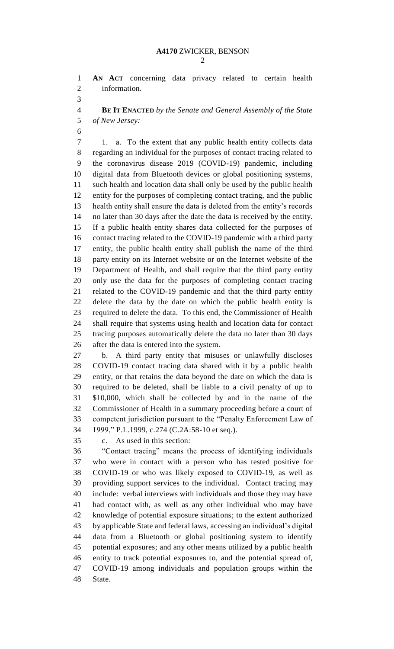**AN ACT** concerning data privacy related to certain health information.

 **BE IT ENACTED** *by the Senate and General Assembly of the State of New Jersey:*

 1. a. To the extent that any public health entity collects data regarding an individual for the purposes of contact tracing related to the coronavirus disease 2019 (COVID-19) pandemic, including digital data from Bluetooth devices or global positioning systems, such health and location data shall only be used by the public health entity for the purposes of completing contact tracing, and the public health entity shall ensure the data is deleted from the entity's records no later than 30 days after the date the data is received by the entity. If a public health entity shares data collected for the purposes of contact tracing related to the COVID-19 pandemic with a third party entity, the public health entity shall publish the name of the third party entity on its Internet website or on the Internet website of the Department of Health, and shall require that the third party entity only use the data for the purposes of completing contact tracing related to the COVID-19 pandemic and that the third party entity delete the data by the date on which the public health entity is required to delete the data. To this end, the Commissioner of Health shall require that systems using health and location data for contact tracing purposes automatically delete the data no later than 30 days after the data is entered into the system.

 b. A third party entity that misuses or unlawfully discloses COVID-19 contact tracing data shared with it by a public health entity, or that retains the data beyond the date on which the data is required to be deleted, shall be liable to a civil penalty of up to \$10,000, which shall be collected by and in the name of the Commissioner of Health in a summary proceeding before a court of competent jurisdiction pursuant to the "Penalty Enforcement Law of 1999," P.L.1999, c.274 (C.2A:58-10 et seq.).

c. As used in this section:

 "Contact tracing" means the process of identifying individuals who were in contact with a person who has tested positive for COVID-19 or who was likely exposed to COVID-19, as well as providing support services to the individual. Contact tracing may include: verbal interviews with individuals and those they may have had contact with, as well as any other individual who may have knowledge of potential exposure situations; to the extent authorized by applicable State and federal laws, accessing an individual's digital data from a Bluetooth or global positioning system to identify potential exposures; and any other means utilized by a public health entity to track potential exposures to, and the potential spread of, COVID-19 among individuals and population groups within the State.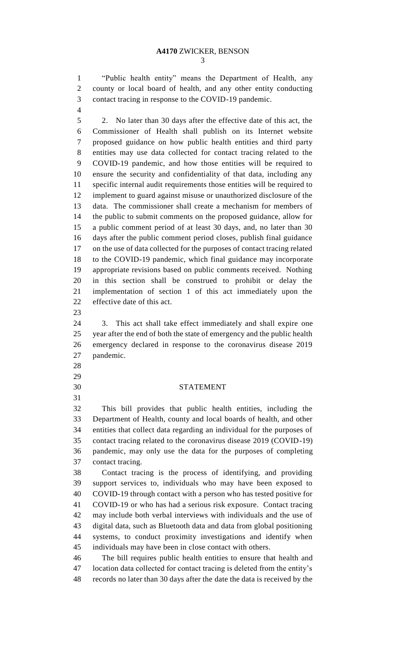"Public health entity" means the Department of Health, any county or local board of health, and any other entity conducting contact tracing in response to the COVID-19 pandemic.

 2. No later than 30 days after the effective date of this act, the Commissioner of Health shall publish on its Internet website proposed guidance on how public health entities and third party entities may use data collected for contact tracing related to the COVID-19 pandemic, and how those entities will be required to ensure the security and confidentiality of that data, including any specific internal audit requirements those entities will be required to implement to guard against misuse or unauthorized disclosure of the data. The commissioner shall create a mechanism for members of the public to submit comments on the proposed guidance, allow for a public comment period of at least 30 days, and, no later than 30 days after the public comment period closes, publish final guidance on the use of data collected for the purposes of contact tracing related to the COVID-19 pandemic, which final guidance may incorporate appropriate revisions based on public comments received. Nothing in this section shall be construed to prohibit or delay the implementation of section 1 of this act immediately upon the effective date of this act.

 3. This act shall take effect immediately and shall expire one year after the end of both the state of emergency and the public health emergency declared in response to the coronavirus disease 2019 pandemic.

- 
- 
- 

## STATEMENT

 This bill provides that public health entities, including the Department of Health, county and local boards of health, and other entities that collect data regarding an individual for the purposes of contact tracing related to the coronavirus disease 2019 (COVID-19) pandemic, may only use the data for the purposes of completing contact tracing.

 Contact tracing is the process of identifying, and providing support services to, individuals who may have been exposed to COVID-19 through contact with a person who has tested positive for COVID-19 or who has had a serious risk exposure. Contact tracing may include both verbal interviews with individuals and the use of digital data, such as Bluetooth data and data from global positioning systems, to conduct proximity investigations and identify when individuals may have been in close contact with others.

 The bill requires public health entities to ensure that health and location data collected for contact tracing is deleted from the entity's records no later than 30 days after the date the data is received by the